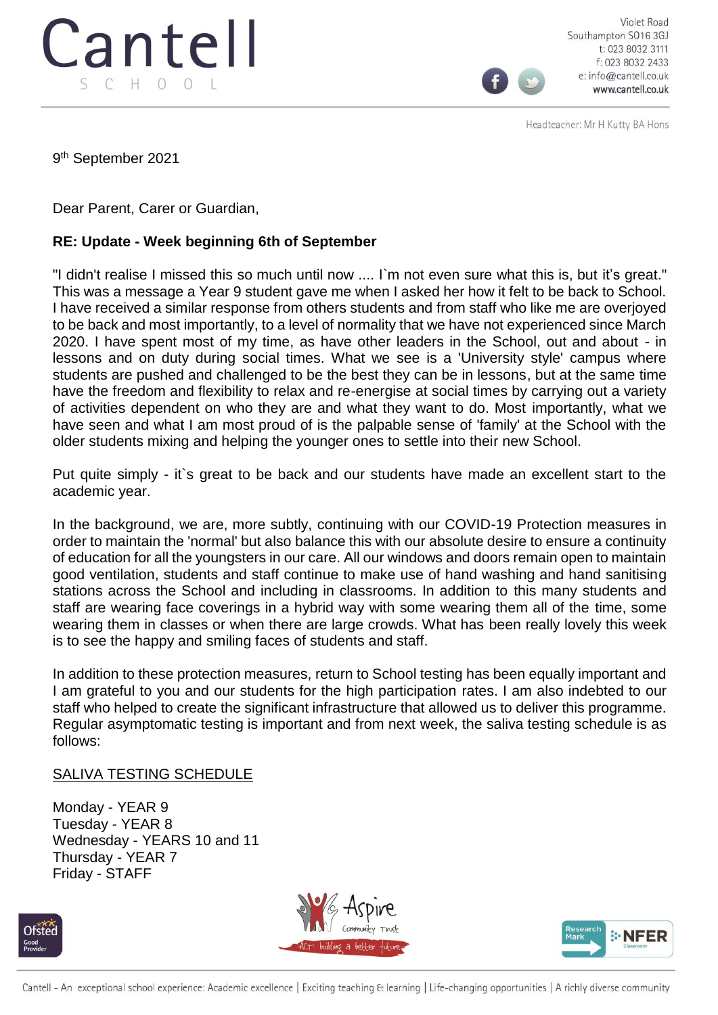

Violet Road Southampton SO16 3GJ t: 023 8032 3111 f: 023 8032 2433 e: info@cantell.co.uk www.cantell.co.uk

Headteacher: Mr H Kutty BA Hons

9 th September 2021

Dear Parent, Carer or Guardian,

## **RE: Update - Week beginning 6th of September**

"I didn't realise I missed this so much until now .... I`m not even sure what this is, but it's great." This was a message a Year 9 student gave me when I asked her how it felt to be back to School. I have received a similar response from others students and from staff who like me are overjoyed to be back and most importantly, to a level of normality that we have not experienced since March 2020. I have spent most of my time, as have other leaders in the School, out and about - in lessons and on duty during social times. What we see is a 'University style' campus where students are pushed and challenged to be the best they can be in lessons, but at the same time have the freedom and flexibility to relax and re-energise at social times by carrying out a variety of activities dependent on who they are and what they want to do. Most importantly, what we have seen and what I am most proud of is the palpable sense of 'family' at the School with the older students mixing and helping the younger ones to settle into their new School.

Put quite simply - it`s great to be back and our students have made an excellent start to the academic year.

In the background, we are, more subtly, continuing with our COVID-19 Protection measures in order to maintain the 'normal' but also balance this with our absolute desire to ensure a continuity of education for all the youngsters in our care. All our windows and doors remain open to maintain good ventilation, students and staff continue to make use of hand washing and hand sanitising stations across the School and including in classrooms. In addition to this many students and staff are wearing face coverings in a hybrid way with some wearing them all of the time, some wearing them in classes or when there are large crowds. What has been really lovely this week is to see the happy and smiling faces of students and staff.

In addition to these protection measures, return to School testing has been equally important and I am grateful to you and our students for the high participation rates. I am also indebted to our staff who helped to create the significant infrastructure that allowed us to deliver this programme. Regular asymptomatic testing is important and from next week, the saliva testing schedule is as follows:

## SALIVA TESTING SCHEDULE

Monday - YEAR 9 Tuesday - YEAR 8 Wednesday - YEARS 10 and 11 Thursday - YEAR 7 Friday - STAFF